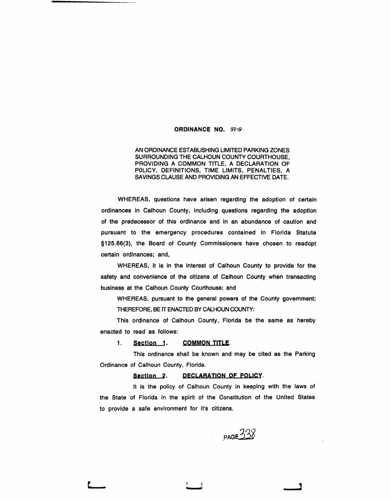# ORDINANCE NO. *91;9* ·

AN ORDINANCE ESTABLISHING LIMITED PARKING ZONES SURROUNDING THE CALHOUN COUNTY COURTHOUSE, PROVIDING A COMMON TITLE, A DECLARATION OF POLICY, DEFINITIONS, TIME LIMITS, PENALTIES, A SAVINGS CLAUSE AND PROVIDING AN EFFECTIVE DATE.

WHEREAS, questions have arisen regarding the adoption of certain ordinances in Calhoun County, including questions regarding the adoption of the predecessor of this ordinance and in an abundance of caution and pursuant to the emergency procedures contained in Florida Statute §125.66(3), the Board of County Commissioners have chosen to readopt certain ordinances; and,

WHEREAS, it is in the interest of Calhoun County to provide for the safety and convenience of the citizens of Calhoun County when transacting business at the Calhoun County Courthouse; and

WHEREAS, pursuant to the general powers of the County government; THEREFORE, BE IT ENACTED BY CALHOUN COUNTY:

This ordinance of Calhoun County, Florida be the same as hereby enacted to read as follows:

1. Section 1. COMMON TITLE.

This ordinance shall be known and may be cited as the Parking Ordinance of Calhoun County, Florida.

#### Section 2. DECLARATION OF POLICY.

It is the policy of Calhoun County in keeping with the laws of the State of Florida in the spirit of the Constitution of the United States to provide a safe environment for it's citizens.

 $PAGE332$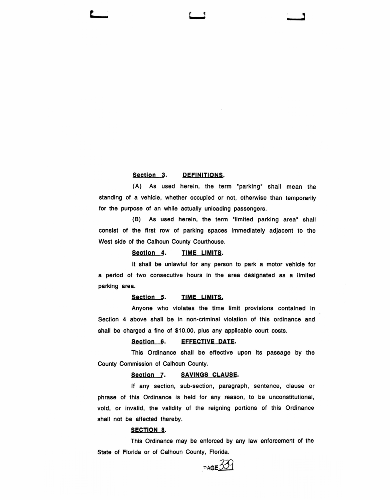### Section 3. DEFINITIONS.

(A) As used herein, the term "parking" shall mean the standing of a vehicle, whether occupied or not, otherwise than temporarily for the purpose of an while actually unloading passengers.

(B) As used herein, the term "limited parking area" shall consist of the first row of parking spaces Immediately adjacent to the West side of the Calhoun County Courthouse.

#### Section 4. TIME LIMITS.

It shall be unlawful for any person to park a motor vehicle for a period of two consecutive hours in the area designated as a limited parking area.

### Section 5. TIME LIMITS.

Anyone who violates the time limit provisions contained in Section 4 above shall be in non-criminal violation of this ordinance and shall be charged a fine of \$10.00, plus any applicable court costs.

## Section 6. **EFFECTIVE DATE.**

This Ordinance shall be effective upon its passage by the County Commission of Calhoun County.

## Section 7. SAVINGS CLAUSE.

If any section, sub-section, paragraph, sentence, clause or phrase of this Ordinance is held for any reason, to be unconstitutional, void, or invalid, the validity of the reigning portions of this Ordinance shall not be affected thereby.

#### SECTION 8.

This Ordinance may be enforced by any law enforcement of the State of Florida or of Calhoun County, Florida.